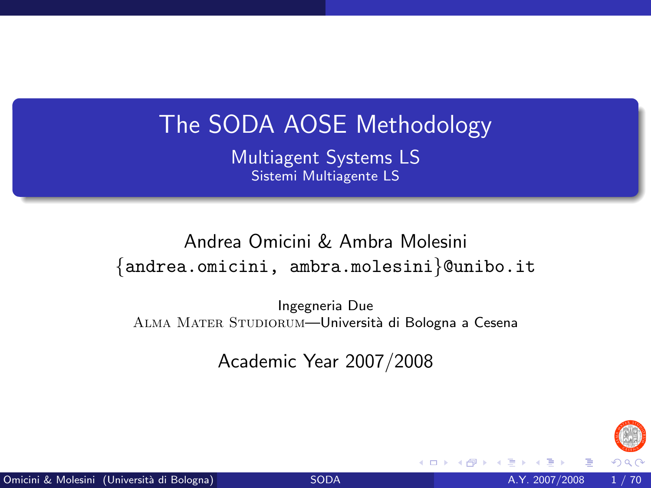# The SODA AOSE Methodology

Multiagent Systems LS Sistemi Multiagente LS

Andrea Omicini & Ambra Molesini {andrea.omicini, ambra.molesini}@unibo.it

Ingegneria Due ALMA MATER STUDIORUM—Università di Bologna a Cesena

Academic Year 2007/2008

<span id="page-0-0"></span>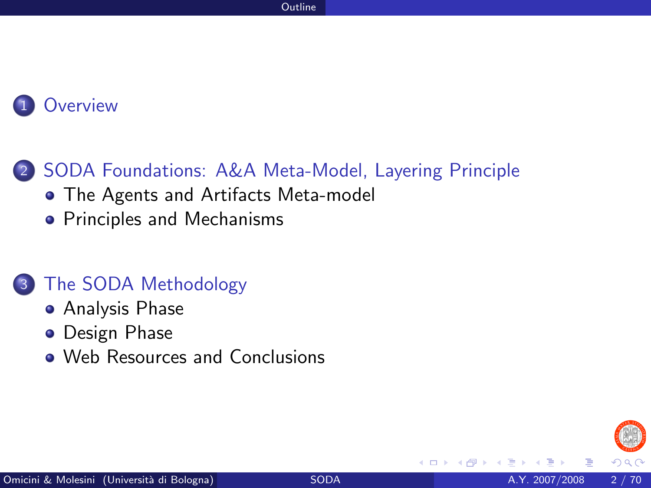**[Overview](#page-2-0)** 

#### 2 [SODA Foundations: A&A Meta-Model, Layering Principle](#page-5-0)

- [The Agents and Artifacts Meta-model](#page-5-0)
- [Principles and Mechanisms](#page-12-0)

#### 3 [The SODA Methodology](#page-20-0)

- [Analysis Phase](#page-21-0)
- **•** [Design Phase](#page-42-0)
- [Web Resources and Conclusions](#page-62-0)

**∢ ⊡**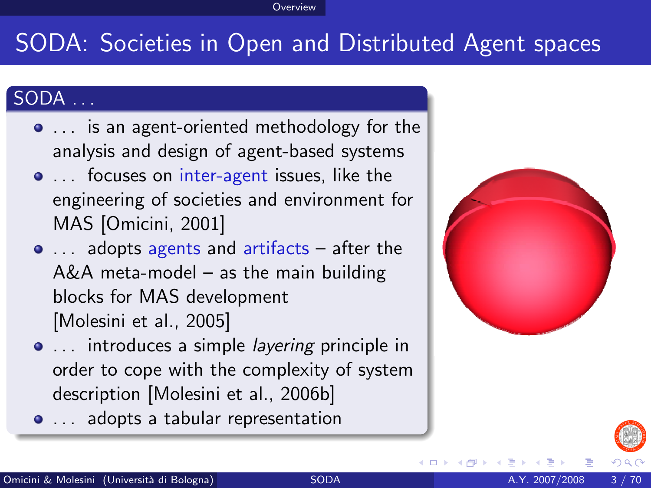#### **Overview**

# SODA: Societies in Open and Distributed Agent spaces

#### SODA . . .

- . . is an agent-oriented methodology for the analysis and design of agent-based systems
- ... focuses on inter-agent issues, like the engineering of societies and environment for MAS [\[Omicini, 2001\]](#page-67-0)
- ... adopts agents and artifacts after the A&A meta-model – as the main building blocks for MAS development [\[Molesini et al., 2005\]](#page-65-0)
- ... introduces a simple *layering* principle in order to cope with the complexity of system description [\[Molesini et al., 2006b\]](#page-66-0)
- ... adopts a tabular representation



<span id="page-2-0"></span>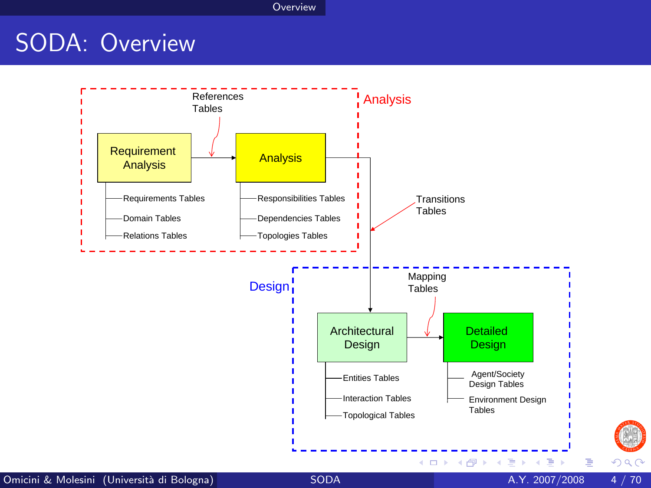**Overview** 

# SODA: Overview



 $\frac{1}{2}$ 

 $299$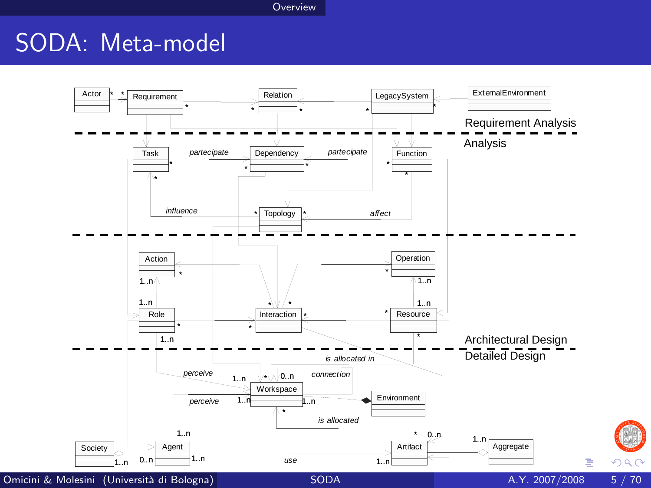Overview

# SODA: Meta-model



 $299$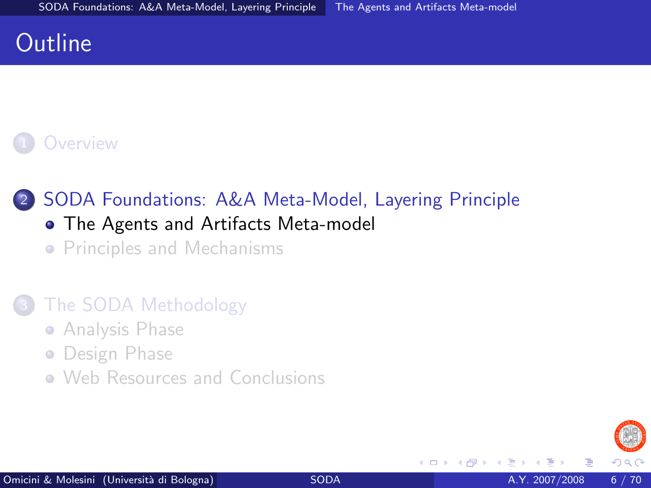## **Outline**

### **[Overview](#page-2-0)**

#### 2 [SODA Foundations: A&A Meta-Model, Layering Principle](#page-5-0) [The Agents and Artifacts Meta-model](#page-5-0)

**• [Principles and Mechanisms](#page-12-0)** 

#### [The SODA Methodology](#page-20-0)

- **[Analysis Phase](#page-21-0)**
- **•** [Design Phase](#page-42-0)
- <span id="page-5-0"></span>• [Web Resources and Conclusions](#page-62-0)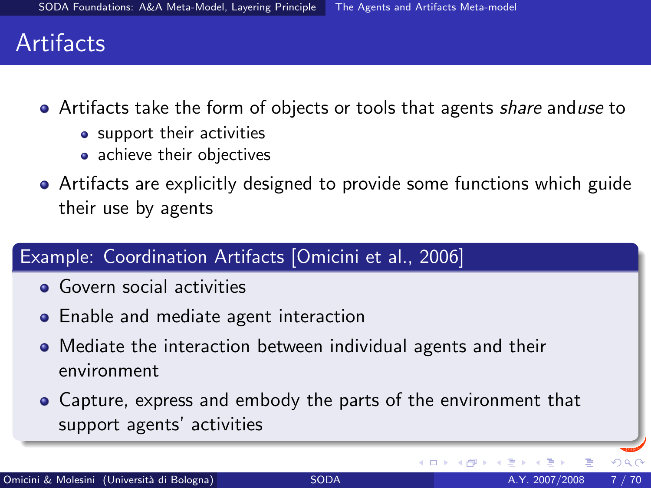## **Artifacts**

- Artifacts take the form of objects or tools that agents *share* anduse to
	- support their activities
	- achieve their objectives
- Artifacts are explicitly designed to provide some functions which guide their use by agents

#### Example: Coordination Artifacts [\[Omicini et al., 2006\]](#page-67-1)

- **Govern social activities**
- **•** Enable and mediate agent interaction
- Mediate the interaction between individual agents and their environment
- Capture, express and embody the parts of the environment that support agents' activities

4 D F

 $\Omega$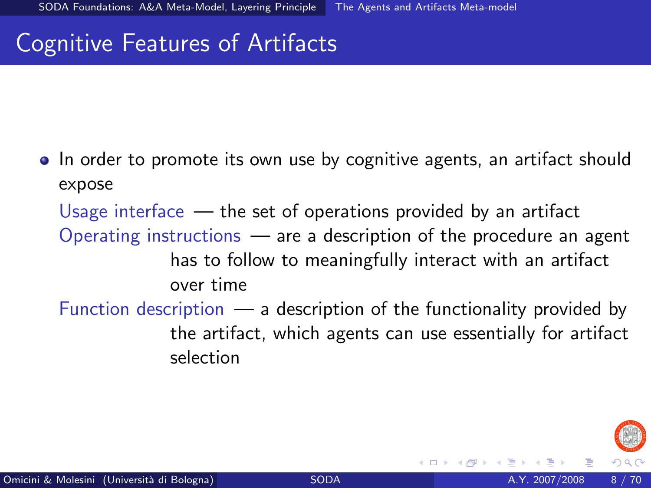# Cognitive Features of Artifacts

• In order to promote its own use by cognitive agents, an artifact should expose

Usage interface  $-$  the set of operations provided by an artifact Operating instructions — are a description of the procedure an agent has to follow to meaningfully interact with an artifact over time

Function description  $\frac{1}{2}$  a description of the functionality provided by the artifact, which agents can use essentially for artifact selection

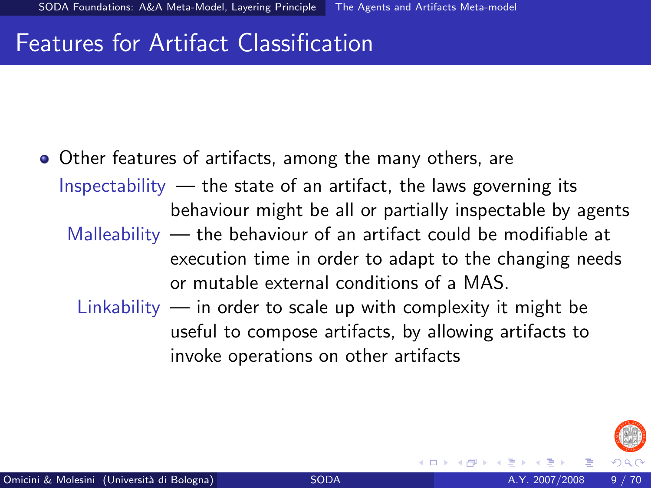# Features for Artifact Classification

Other features of artifacts, among the many others, are Inspectability  $-$  the state of an artifact, the laws governing its behaviour might be all or partially inspectable by agents Malleability — the behaviour of an artifact could be modifiable at execution time in order to adapt to the changing needs or mutable external conditions of a MAS. Linkability  $-$  in order to scale up with complexity it might be useful to compose artifacts, by allowing artifacts to

invoke operations on other artifacts

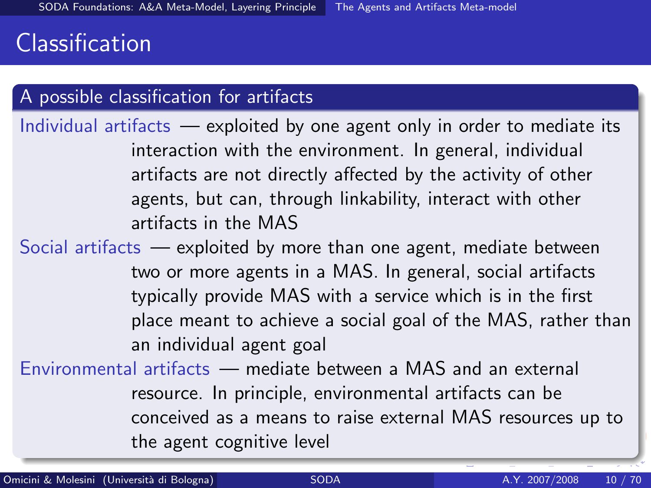# Classification

#### A possible classification for artifacts

Individual artifacts — exploited by one agent only in order to mediate its interaction with the environment. In general, individual artifacts are not directly affected by the activity of other agents, but can, through linkability, interact with other artifacts in the MAS

Social artifacts — exploited by more than one agent, mediate between two or more agents in a MAS. In general, social artifacts typically provide MAS with a service which is in the first place meant to achieve a social goal of the MAS, rather than an individual agent goal

Environmental artifacts — mediate between a MAS and an external resource. In principle, environmental artifacts can be conceived as a means to raise external MAS resources up to the agent cognitive level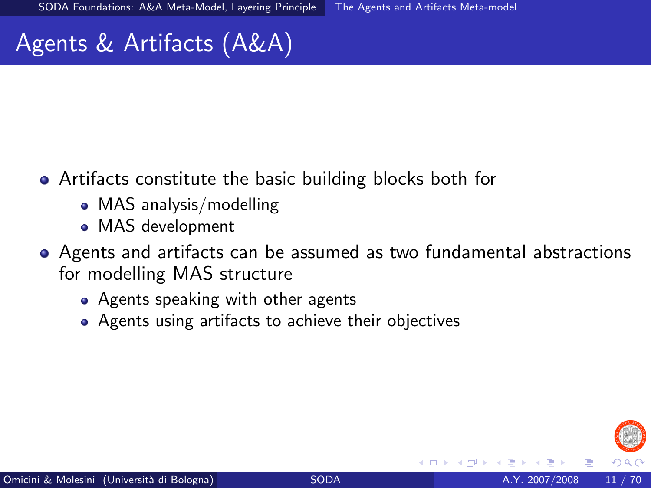# Agents & Artifacts (A&A)

- Artifacts constitute the basic building blocks both for
	- MAS analysis/modelling
	- MAS development
- Agents and artifacts can be assumed as two fundamental abstractions for modelling MAS structure
	- Agents speaking with other agents
	- Agents using artifacts to achieve their objectives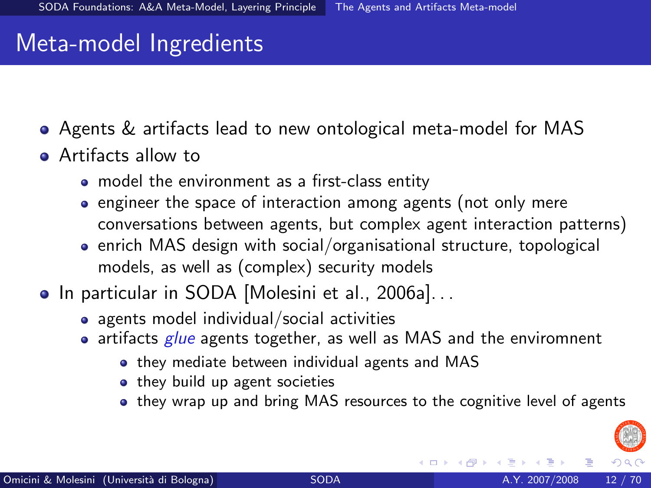## Meta-model Ingredients

- Agents & artifacts lead to new ontological meta-model for MAS
- **Artifacts allow to** 
	- model the environment as a first-class entity
	- engineer the space of interaction among agents (not only mere conversations between agents, but complex agent interaction patterns)
	- enrich MAS design with social/organisational structure, topological models, as well as (complex) security models
- In particular in SODA [\[Molesini et al., 2006a\]](#page-66-1)...
	- agents model individual/social activities
	- $\bullet$  artifacts glue agents together, as well as MAS and the enviromnent
		- they mediate between individual agents and MAS
		- they build up agent societies
		- they wrap up and bring MAS resources to the cognitive level of agents

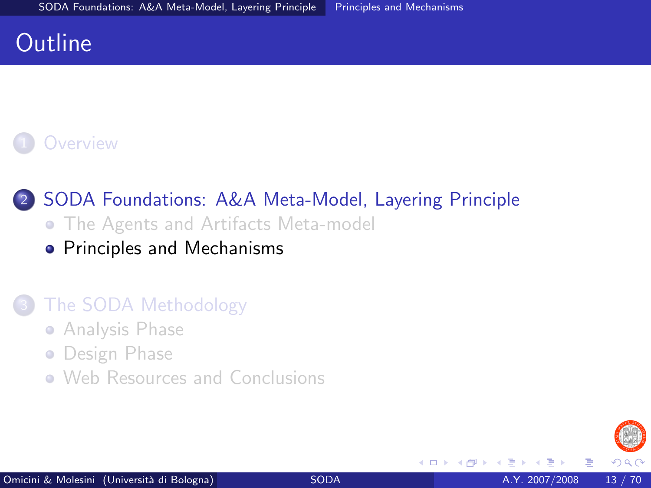## **Outline**

### **[Overview](#page-2-0)**

#### 2 [SODA Foundations: A&A Meta-Model, Layering Principle](#page-5-0) **• [The Agents and Artifacts Meta-model](#page-5-0)**

• [Principles and Mechanisms](#page-12-0)

#### [The SODA Methodology](#page-20-0)

- **[Analysis Phase](#page-21-0)**
- **•** [Design Phase](#page-42-0)
- <span id="page-12-0"></span>• [Web Resources and Conclusions](#page-62-0)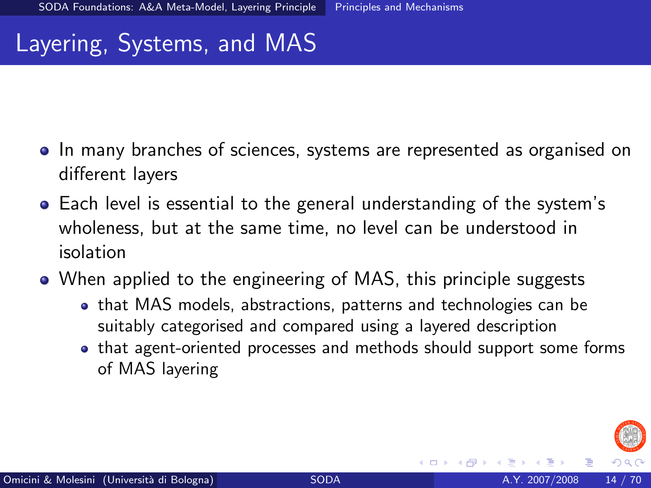## Layering, Systems, and MAS

- In many branches of sciences, systems are represented as organised on different layers
- Each level is essential to the general understanding of the system's wholeness, but at the same time, no level can be understood in isolation
- When applied to the engineering of MAS, this principle suggests
	- that MAS models, abstractions, patterns and technologies can be suitably categorised and compared using a layered description
	- that agent-oriented processes and methods should support some forms of MAS layering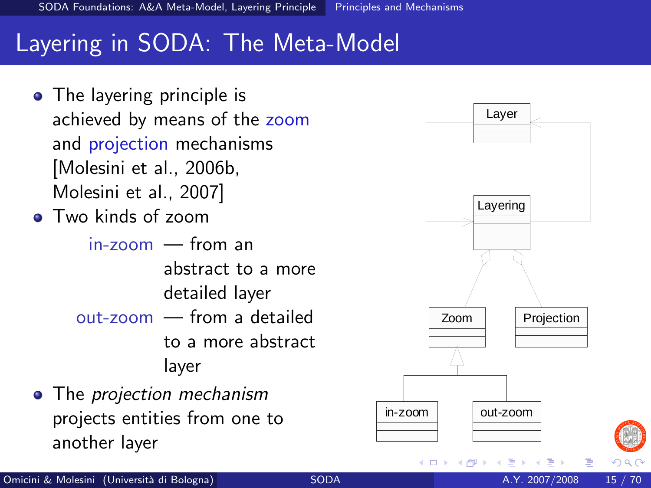# Layering in SODA: The Meta-Model

• The layering principle is achieved by means of the zoom and projection mechanisms [\[Molesini et al., 2006b,](#page-66-0) [Molesini et al., 2007\]](#page-65-1) • Two kinds of zoom in-zoom — from an

abstract to a more detailed layer out-zoom — from a detailed to a more abstract layer

• The projection mechanism projects entities from one to another layer

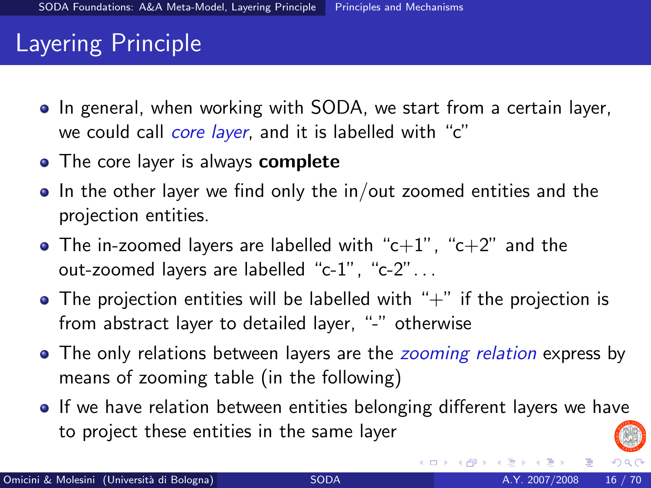# Layering Principle

- In general, when working with SODA, we start from a certain layer, we could call *core layer*, and it is labelled with "c"
- The core layer is always **complete**
- $\bullet$  In the other layer we find only the in/out zoomed entities and the projection entities.
- The in-zoomed layers are labelled with " $c+1$ ", " $c+2$ " and the out-zoomed layers are labelled "c-1", "c-2". . .
- $\bullet$  The projection entities will be labelled with " $+$ " if the projection is from abstract layer to detailed layer, "-" otherwise
- The only relations between layers are the *zooming relation* express by means of zooming table (in the following)
- If we have relation between entities belonging different layers we have to project these entities in the same layer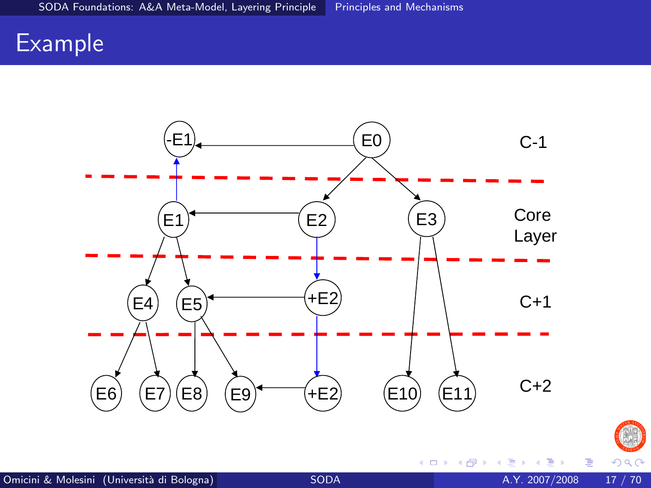## Example





 $\leftarrow$   $\Box$ 

× × 重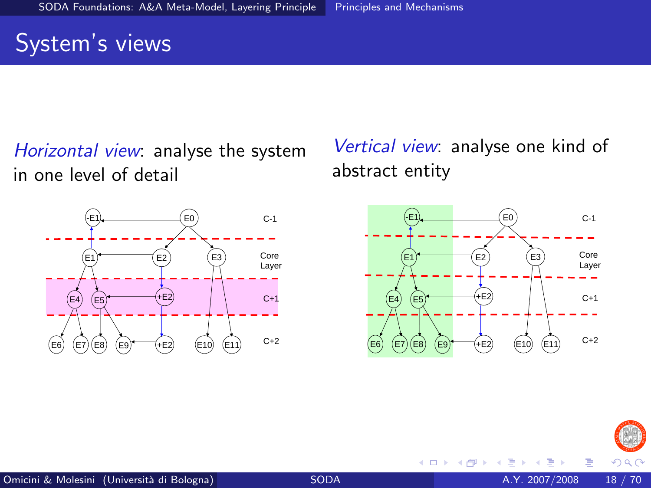# System's views

Horizontal view: analyse the system in one level of detail



Vertical view: analyse one kind of abstract entity



4 0 8



Þ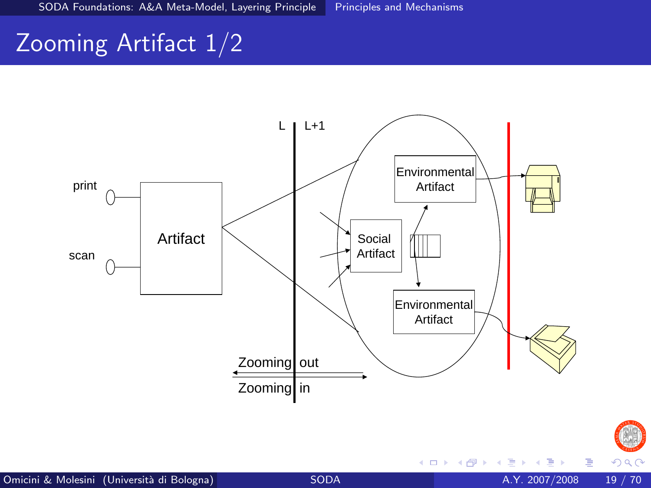# Zooming Artifact 1/2



 $299$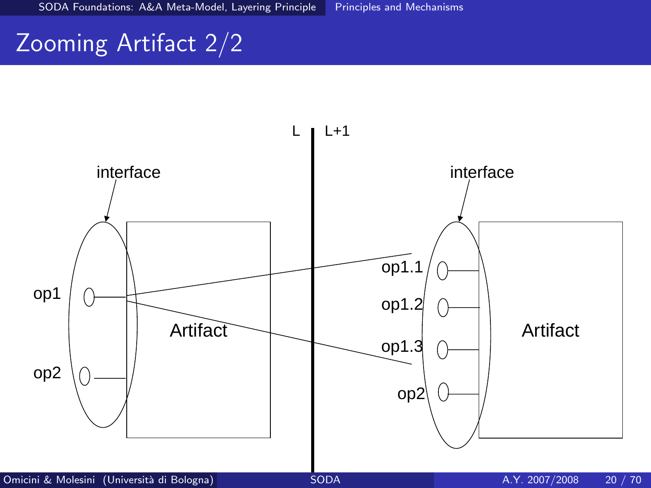# Zooming Artifact 2/2

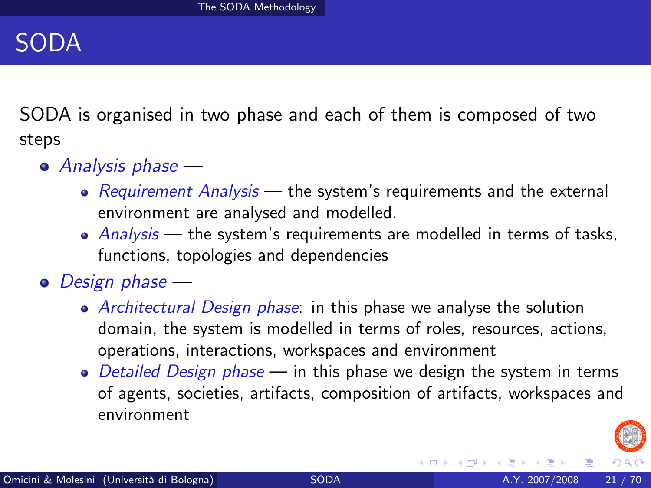## SODA

SODA is organised in two phase and each of them is composed of two steps

- Analysis phase
	- Requirement Analysis  $-$  the system's requirements and the external environment are analysed and modelled.
	- $\bullet$  Analysis the system's requirements are modelled in terms of tasks, functions, topologies and dependencies
- Design phase
	- Architectural Design phase: in this phase we analyse the solution domain, the system is modelled in terms of roles, resources, actions, operations, interactions, workspaces and environment
	- Detailed Design phase  $-$  in this phase we design the system in terms of agents, societies, artifacts, composition of artifacts, workspaces and environment

<span id="page-20-0"></span>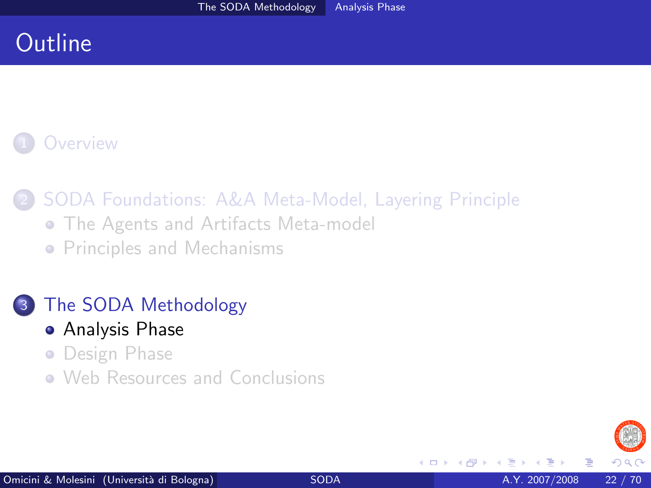# **Outline**

## **[Overview](#page-2-0)**

2 [SODA Foundations: A&A Meta-Model, Layering Principle](#page-5-0)

- **[The Agents and Artifacts Meta-model](#page-5-0)**
- **[Principles and Mechanisms](#page-12-0)**

[The SODA Methodology](#page-20-0)

- [Analysis Phase](#page-21-0)
- **•** [Design Phase](#page-42-0)
- [Web Resources and Conclusions](#page-62-0)

4 0 8

<span id="page-21-0"></span>つへへ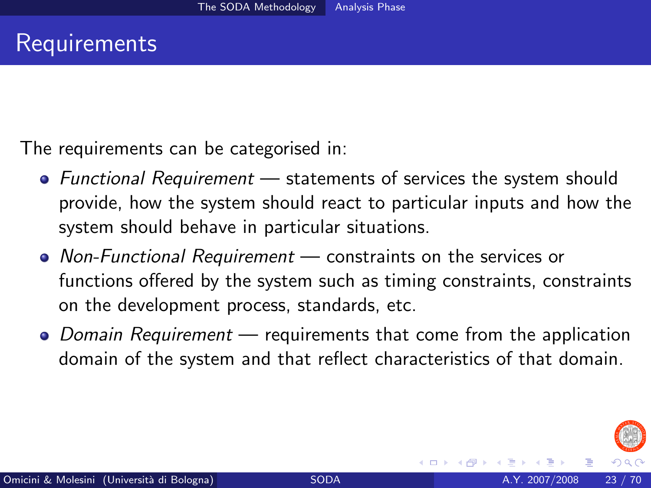The requirements can be categorised in:

- $\bullet$  Functional Requirement statements of services the system should provide, how the system should react to particular inputs and how the system should behave in particular situations.
- Non-Functional Requirement constraints on the services or functions offered by the system such as timing constraints, constraints on the development process, standards, etc.
- Domain Requirement requirements that come from the application domain of the system and that reflect characteristics of that domain.

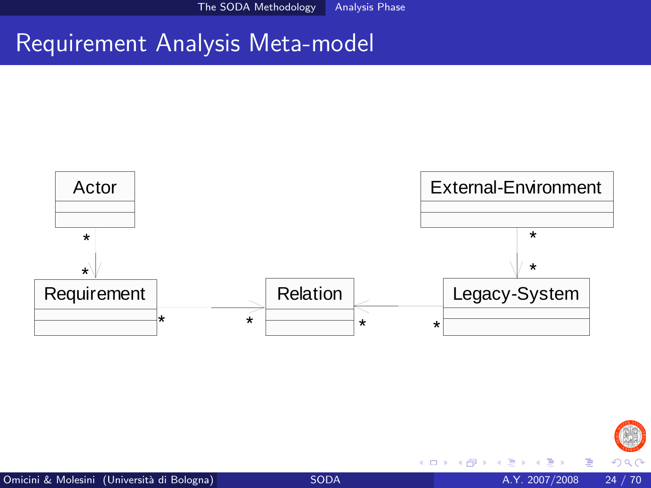The SODA Methodology Analysis Phase

## Requirement Analysis Meta-model



4 日下

 $290$ 

Þ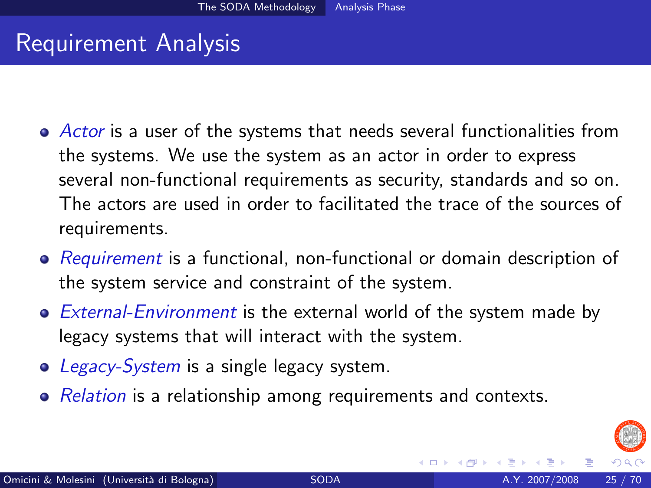# Requirement Analysis

- Actor is a user of the systems that needs several functionalities from the systems. We use the system as an actor in order to express several non-functional requirements as security, standards and so on. The actors are used in order to facilitated the trace of the sources of requirements.
- Requirement is a functional, non-functional or domain description of the system service and constraint of the system.
- External-Environment is the external world of the system made by legacy systems that will interact with the system.
- Legacy-System is a single legacy system.
- Relation is a relationship among requirements and contexts.

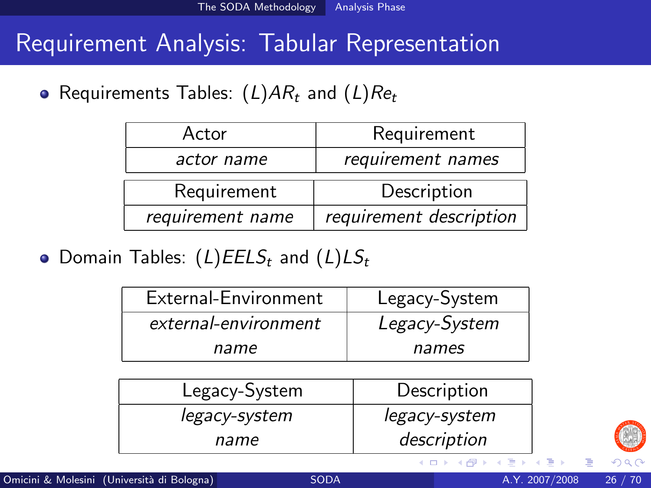• Requirements Tables:  $(L)AR_t$  and  $(L)Re_t$ 

| Actor            | Requirement             |
|------------------|-------------------------|
| actor name       | requirement names       |
| Requirement      | Description             |
| requirement name | requirement description |

• Domain Tables:  $(L) E E L S_t$  and  $(L) L S_t$ 

| External-Environment | Legacy-System |
|----------------------|---------------|
| external-environment | Legacy-System |
| name                 | names         |

| Legacy-System | Description   |
|---------------|---------------|
| legacy-system | legacy-system |
| name          | description   |

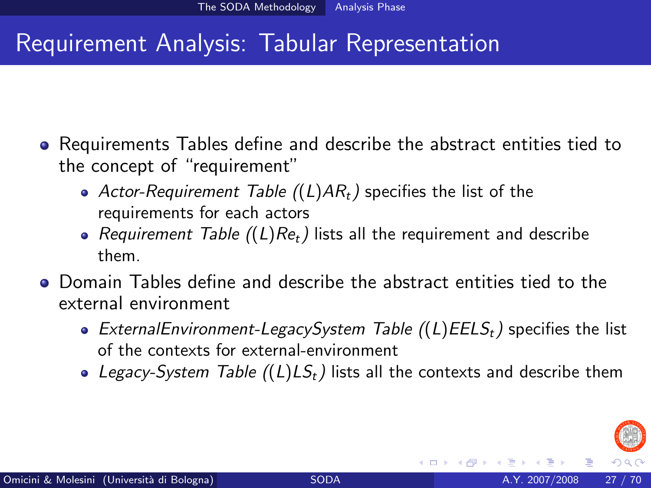- Requirements Tables define and describe the abstract entities tied to the concept of "requirement"
	- Actor-Requirement Table  $((L)AR_t)$  specifies the list of the requirements for each actors
	- Requirement Table  $((L)Re_t)$  lists all the requirement and describe them.
- Domain Tables define and describe the abstract entities tied to the external environment
	- ExternalEnvironment-LegacySystem Table  $((L)E E S_t)$  specifies the list of the contexts for external-environment
	- Legacy-System Table  $((L) LS_t)$  lists all the contexts and describe them

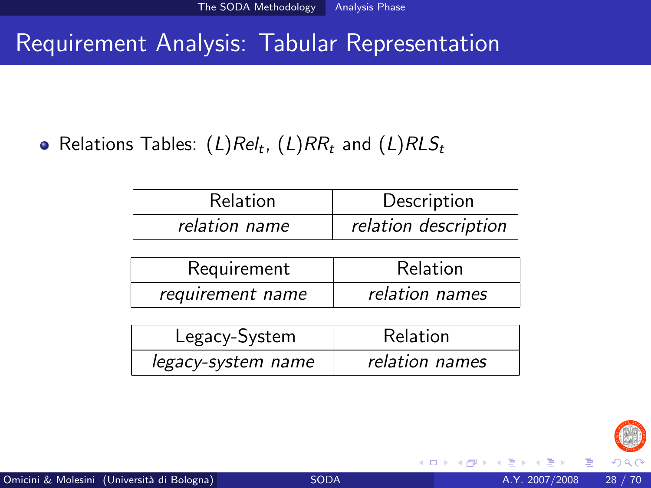Relations Tables:  $(L) Re l_t$ ,  $(L) R R_t$  and  $(L) R L S_t$ 

| <b>Relation</b> | Description          |
|-----------------|----------------------|
| relation name   | relation description |

| Requirement      | Relation       |
|------------------|----------------|
| requirement name | relation names |

| Legacy-System      | Relation       |
|--------------------|----------------|
| legacy-system name | relation names |

4 0 8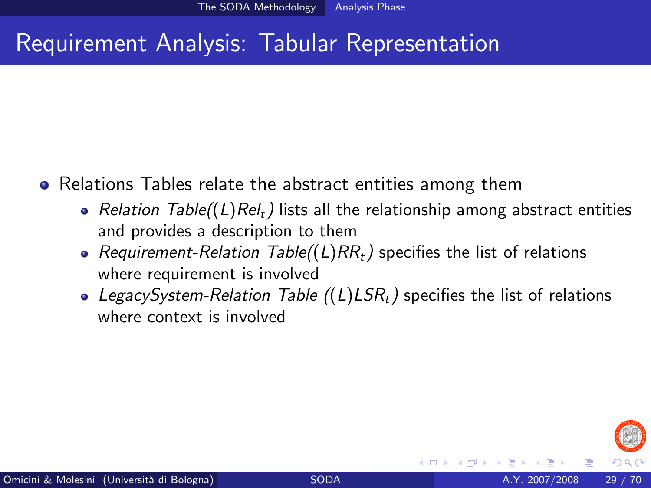- Relations Tables relate the abstract entities among them
	- Relation Table((L)Rel<sub>t</sub>) lists all the relationship among abstract entities and provides a description to them
	- Requirement-Relation Table((L)RR<sub>t</sub>) specifies the list of relations where requirement is involved
	- LegacySystem-Relation Table  $((L)LSR<sub>t</sub>)$  specifies the list of relations where context is involved

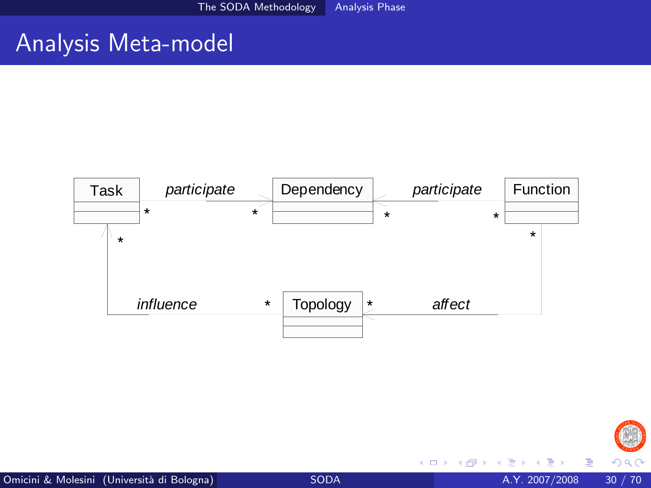# Analysis Meta-model





4 日下

 $\mathcal{A}$  $\rightarrow$  Þ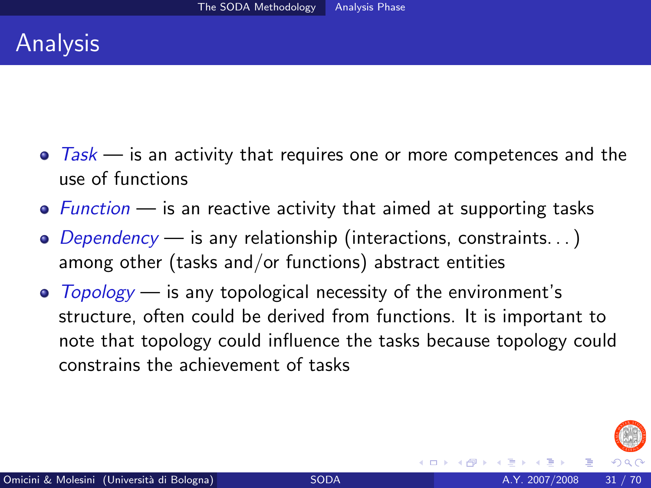- $\bullet$  Task is an activity that requires one or more competences and the use of functions
- $\bullet$  Function is an reactive activity that aimed at supporting tasks
- $\bullet$  Dependency is any relationship (interactions, constraints...) among other (tasks and/or functions) abstract entities
- $\bullet$  Topology is any topological necessity of the environment's structure, often could be derived from functions. It is important to note that topology could influence the tasks because topology could constrains the achievement of tasks

<span id="page-30-0"></span>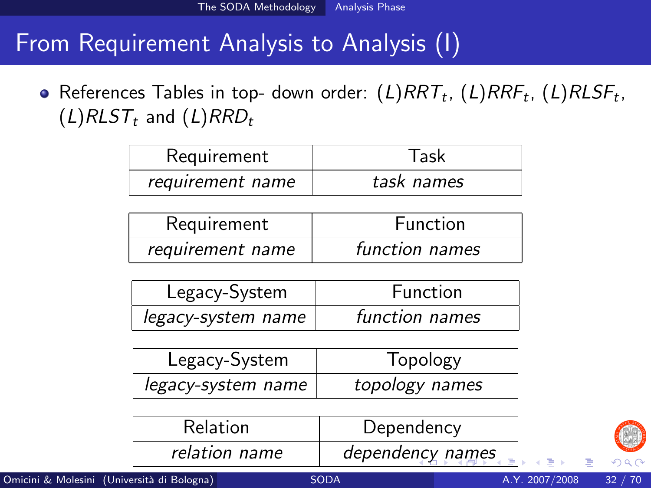# From Requirement Analysis to Analysis (I)

References Tables in top- down order:  $(L) RRT_t$ ,  $(L) RRF_t$ ,  $(L) RLSF_t$ ,  $(L)RLST_t$  and  $(L)RRD_t$ 

| Requirement      | Task       |
|------------------|------------|
| requirement name | task names |

| Requirement      | <b>Function</b> |
|------------------|-----------------|
| requirement name | function names  |

| Legacy-System      | <b>Function</b> |
|--------------------|-----------------|
| legacy-system name | function names  |

| Legacy-System      | Topology       |
|--------------------|----------------|
| legacy-system name | topology names |

<span id="page-31-0"></span>

| <b>Relation</b> | Dependency       |
|-----------------|------------------|
| relation name   | dependency names |

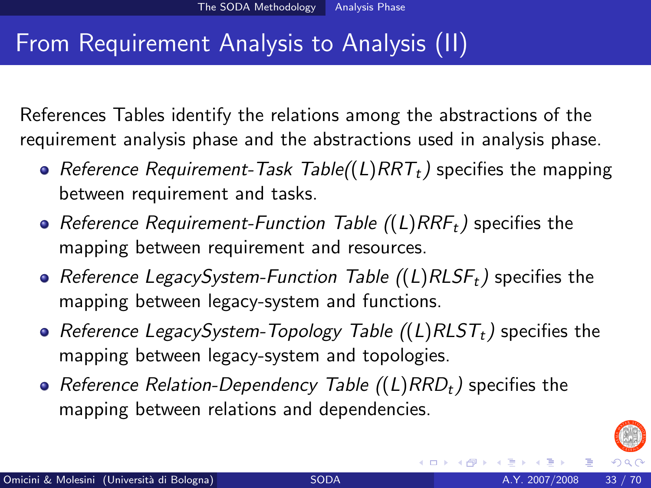# From Requirement Analysis to Analysis (II)

References Tables identify the relations among the abstractions of the requirement analysis phase and the abstractions used in analysis phase.

- Reference Requirement-Task Table( $(L)$ RRT<sub>t</sub>) specifies the mapping between requirement and tasks.
- Reference Requirement-Function Table  $((L)RRF_t)$  specifies the mapping between requirement and resources.
- Reference LegacySystem-Function Table  $((L)RLSF_t)$  specifies the mapping between legacy-system and functions.
- Reference LegacySystem-Topology Table  $((L)RLST<sub>t</sub>)$  specifies the mapping between legacy-system and topologies.
- Reference Relation-Dependency Table ((L)  $RRD_t$ ) specifies the mapping between relations and dependencies.

<span id="page-32-0"></span>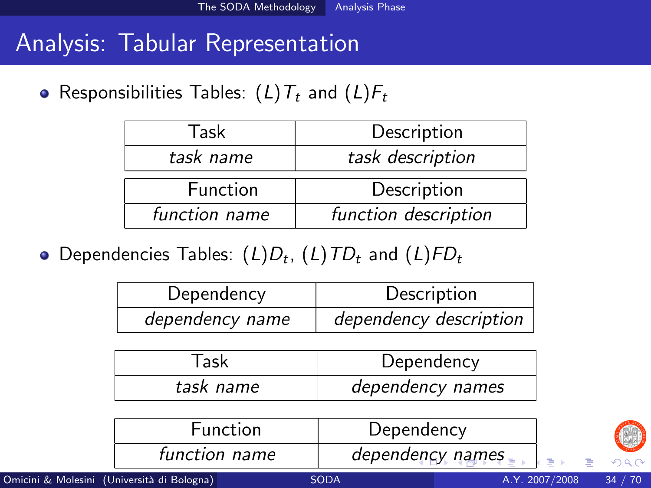## Analysis: Tabular Representation

• Responsibilities Tables:  $(L)T_t$  and  $(L)F_t$ 

| Task          | Description          |
|---------------|----------------------|
| task name     | task description     |
| Function      | Description          |
| function name | function description |

Dependencies Tables:  $(L)D_t$ ,  $(L)$   $TD_t$  and  $(L)$   $\mathit{FD}_t$ 

| Dependency      | Description            |
|-----------------|------------------------|
| dependency name | dependency description |

| Task      | Dependency       |
|-----------|------------------|
| task name | dependency names |

<span id="page-33-0"></span>

| <b>Function</b> | Dependency       |                       |
|-----------------|------------------|-----------------------|
| function name   | dependency names | $\leftarrow \equiv +$ |

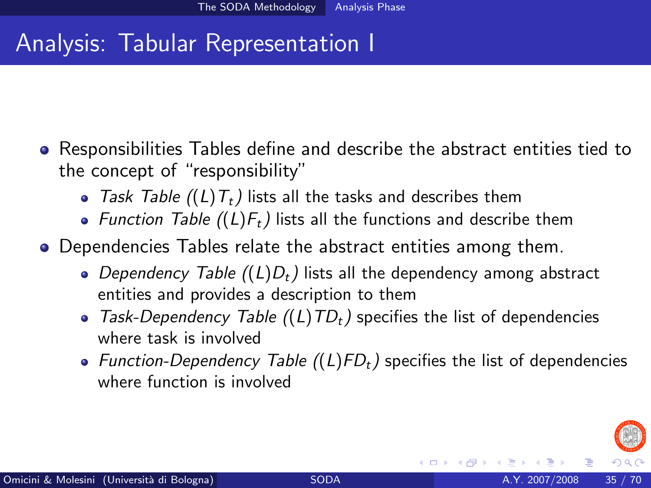# Analysis: Tabular Representation I

- Responsibilities Tables define and describe the abstract entities tied to the concept of "responsibility"
	- Task Table  $((L)T_t)$  lists all the tasks and describes them
	- Function Table  $((L)F_t)$  lists all the functions and describe them
- Dependencies Tables relate the abstract entities among them.
	- Dependency Table  $((L)D_t)$  lists all the dependency among abstract entities and provides a description to them
	- Task-Dependency Table  $((L)TD_t)$  specifies the list of dependencies where task is involved
	- Function-Dependency Table  $((L)FD_t)$  specifies the list of dependencies where function is involved

<span id="page-34-0"></span>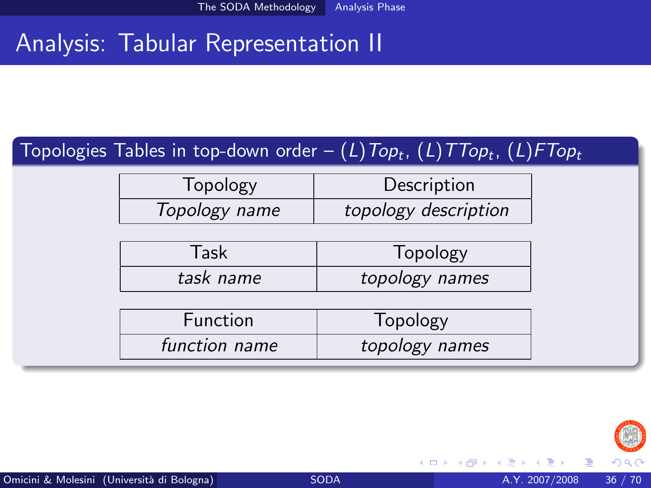# Analysis: Tabular Representation II

#### Topologies Tables in top-down order —  $(L)$ T $\sigma$ p $_{t}$ ,  $(L)$ T $\tau$ o $p_{t}$ ,  $(L)$ F $\tau$ o $p_{t}$

| Topology      | Description          |
|---------------|----------------------|
| Topology name | topology description |

| Task      | Topology       |
|-----------|----------------|
| task name | topology names |

| <b>Function</b> | Topology       |
|-----------------|----------------|
| function name   | topology names |



4 0 8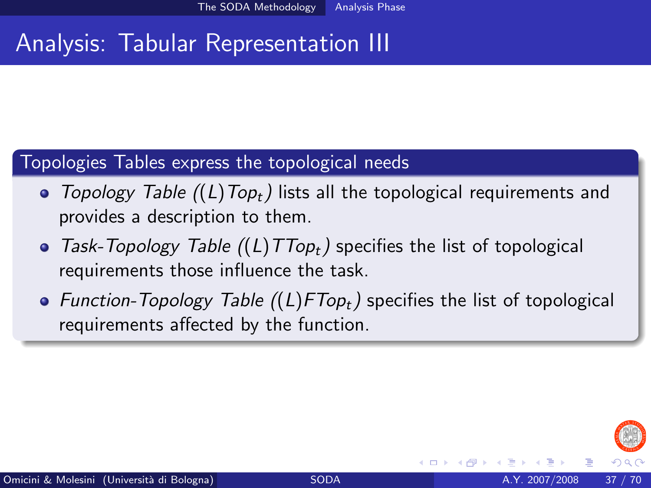# Analysis: Tabular Representation III

#### Topologies Tables express the topological needs

- Topology Table  $((L)Top_t)$  lists all the topological requirements and provides a description to them.
- Task-Topology Table  $((L)TTop_t)$  specifies the list of topological requirements those influence the task.
- Function-Topology Table  $((L)FTop_t)$  specifies the list of topological requirements affected by the function.

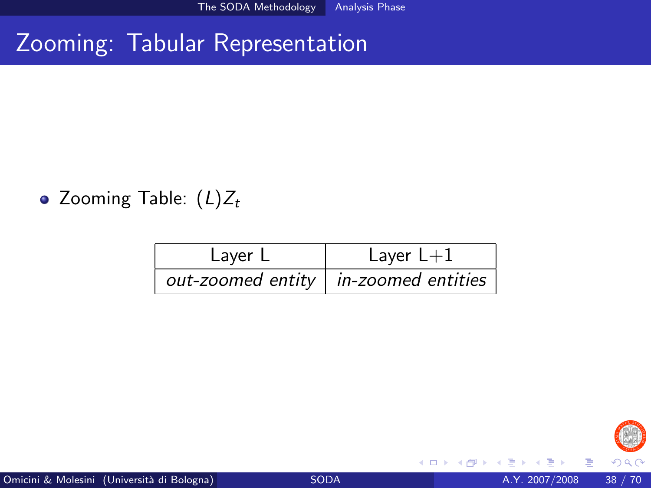# Zooming: Tabular Representation

### • Zooming Table:  $(L)Z_t$

| Layer L | Layer $L+1$                              |
|---------|------------------------------------------|
|         | out-zoomed entity $ $ in-zoomed entities |



4 0 8

э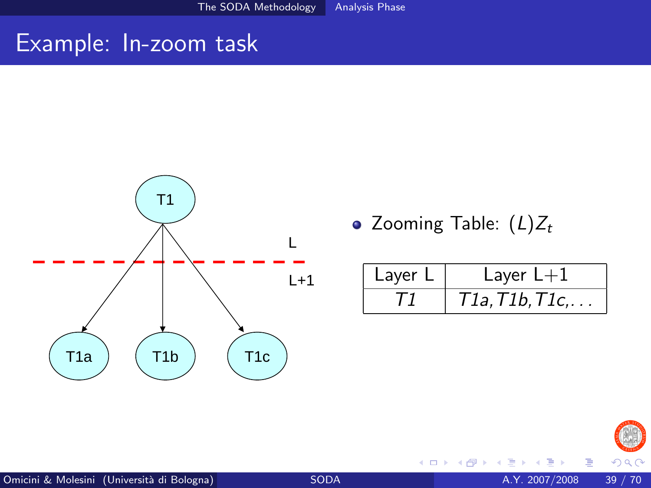## Example: In-zoom task



• Zooming Table:  $(L)Z_t$ 

4 0 8

| Layer L | Layer $L+1$             |
|---------|-------------------------|
|         | $T1a, T1b, T1c, \ldots$ |



Þ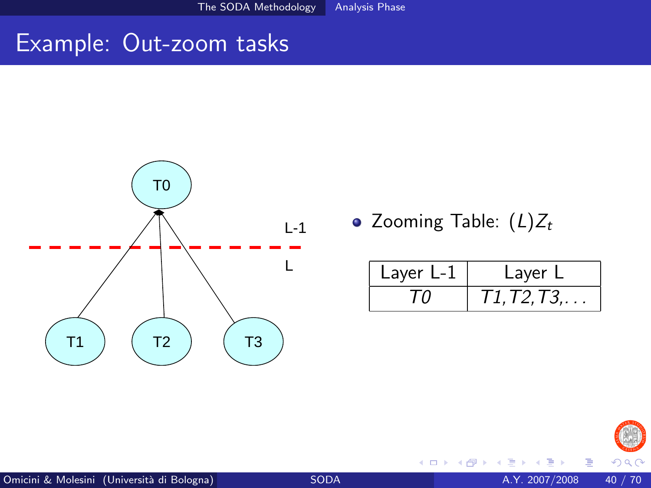The SODA Methodology Analysis Phase

## Example: Out-zoom tasks



• Zooming Table:  $(L)Z_t$ 

4 0 8

| Layer L-1 | Layer L         |
|-----------|-----------------|
|           | I 1, I 2, I 3,. |



 $290$ 

Þ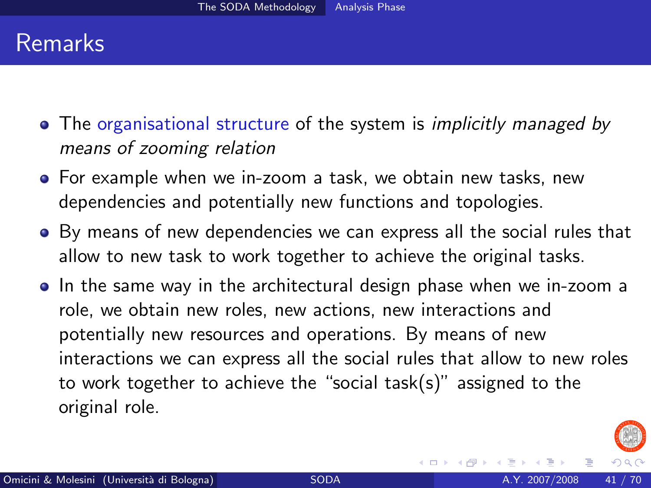## Remarks

- The organisational structure of the system is *implicitly managed by* means of zooming relation
- For example when we in-zoom a task, we obtain new tasks, new dependencies and potentially new functions and topologies.
- By means of new dependencies we can express all the social rules that allow to new task to work together to achieve the original tasks.
- In the same way in the architectural design phase when we in-zoom a role, we obtain new roles, new actions, new interactions and potentially new resources and operations. By means of new interactions we can express all the social rules that allow to new roles to work together to achieve the "social task(s)" assigned to the original role.

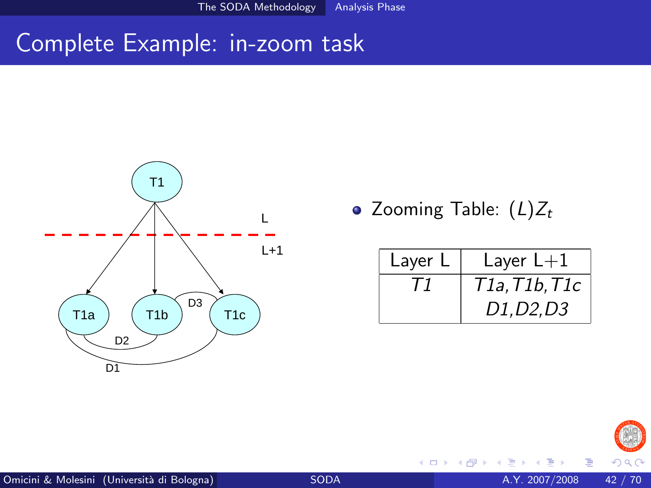The SODA Methodology Analysis Phase

## Complete Example: in-zoom task



• Zooming Table:  $(L)Z_t$ 

4 0 8

| Layer L | Layer $L+1$                                      |
|---------|--------------------------------------------------|
|         | T1a,T1b,T1c                                      |
|         | D <sub>1</sub> , D <sub>2</sub> , D <sub>3</sub> |



Þ

 $290$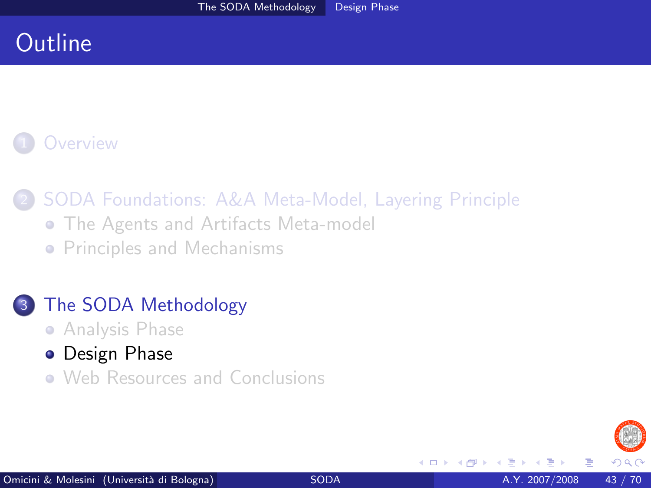# **Outline**

## **[Overview](#page-2-0)**

2 [SODA Foundations: A&A Meta-Model, Layering Principle](#page-5-0)

- **[The Agents and Artifacts Meta-model](#page-5-0)**
- **[Principles and Mechanisms](#page-12-0)**

## [The SODA Methodology](#page-20-0)

- **[Analysis Phase](#page-21-0)**
- **•** [Design Phase](#page-42-0)
- [Web Resources and Conclusions](#page-62-0)

<span id="page-42-0"></span>4 0 8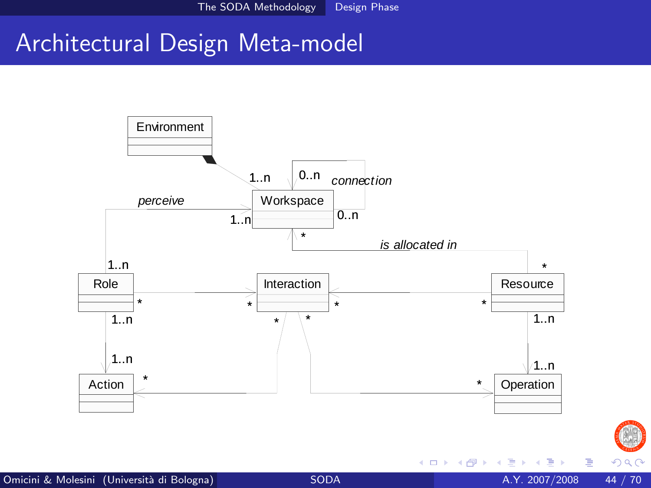# Architectural Design Meta-model



Þ

<span id="page-43-0"></span> $290$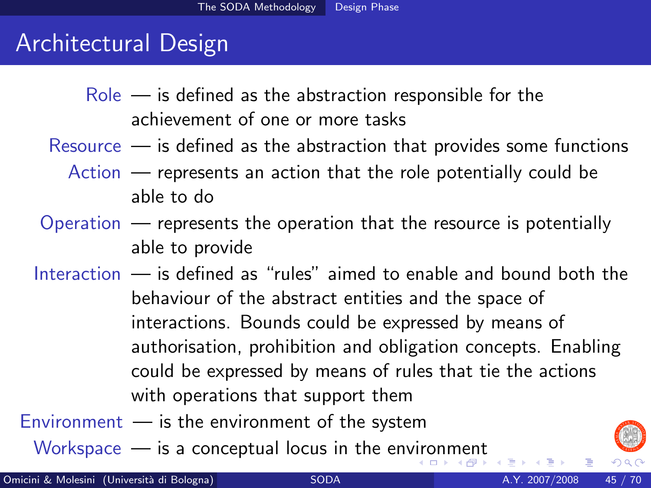## Architectural Design

- $Role$  is defined as the abstraction responsible for the achievement of one or more tasks
- Resource is defined as the abstraction that provides some functions
	- Action represents an action that the role potentially could be able to do
- Operation represents the operation that the resource is potentially able to provide
- Interaction is defined as "rules" aimed to enable and bound both the behaviour of the abstract entities and the space of interactions. Bounds could be expressed by means of authorisation, prohibition and obligation concepts. Enabling could be expressed by means of rules that tie the actions with operations that support them

Environment  $-$  is the environment of the system

<span id="page-44-0"></span>Workspace — is a conceptual locus in the en[viro](#page-43-0)[n](#page-45-0)[m](#page-43-0)[en](#page-44-0)[t](#page-45-0)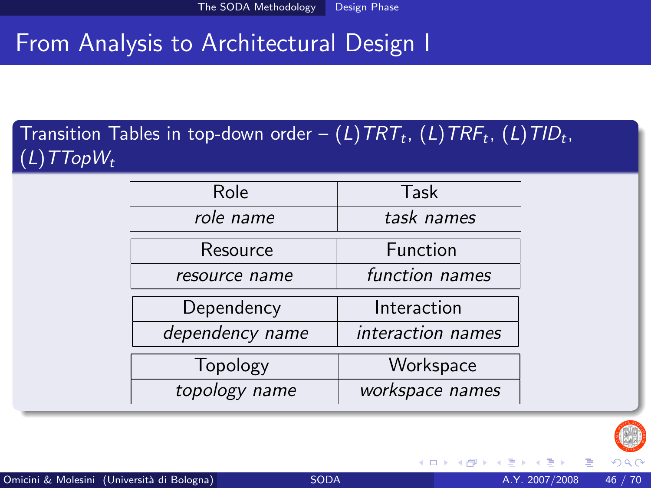# From Analysis to Architectural Design I

## Transition Tables in top-down order —  $(L)$ TRT<sub>t</sub>,  $(L)$ TRF<sub>t</sub>,  $(L)$ TID<sub>t</sub>,  $(L)$ TTop $W_t$

| Role            | Task              |
|-----------------|-------------------|
| role name       | task names        |
| Resource        | Function          |
| resource name   | function names    |
| Dependency      | Interaction       |
| dependency name | interaction names |
| Topology        | Workspace         |
| topology name   | workspace names   |

<span id="page-45-0"></span>

 $\leftarrow$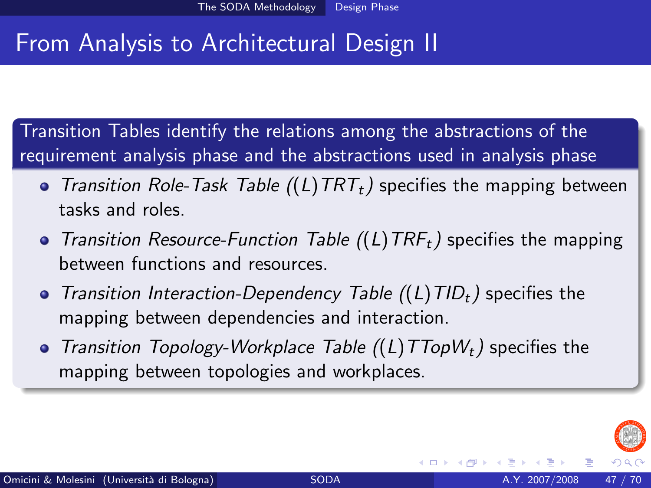# From Analysis to Architectural Design II

Transition Tables identify the relations among the abstractions of the requirement analysis phase and the abstractions used in analysis phase

- Transition Role-Task Table  $((L) TRT<sub>t</sub>)$  specifies the mapping between tasks and roles.
- Transition Resource-Function Table  $((L)TRF_t)$  specifies the mapping between functions and resources.
- Transition Interaction-Dependency Table  $((L)TID_t)$  specifies the mapping between dependencies and interaction.
- Transition Topology-Workplace Table  $((L)TTopW<sub>t</sub>)$  specifies the mapping between topologies and workplaces.

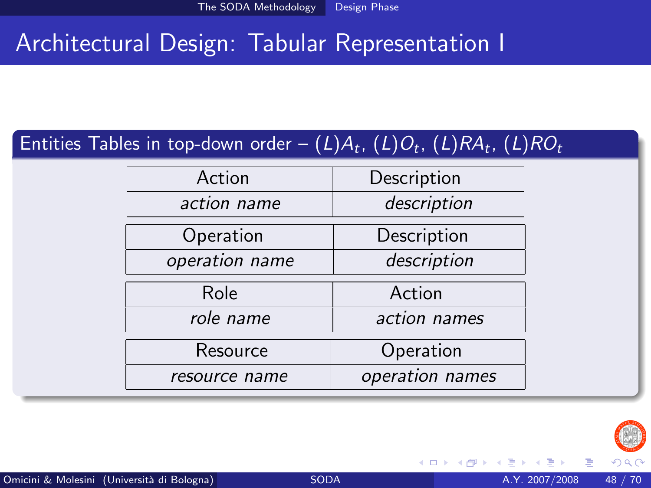# Architectural Design: Tabular Representation I

## Entities Tables in top-down order —  $(L)A_t$ ,  $(L)O_t$ ,  $(L)RA_t$ ,  $(L)RO_t$

| Action         | Description     |
|----------------|-----------------|
| action name    | description     |
| Operation      | Description     |
| operation name | description     |
| Role           | Action          |
| role name      | action names    |
| Resource       | Operation       |
| resource name  | operation names |
|                |                 |

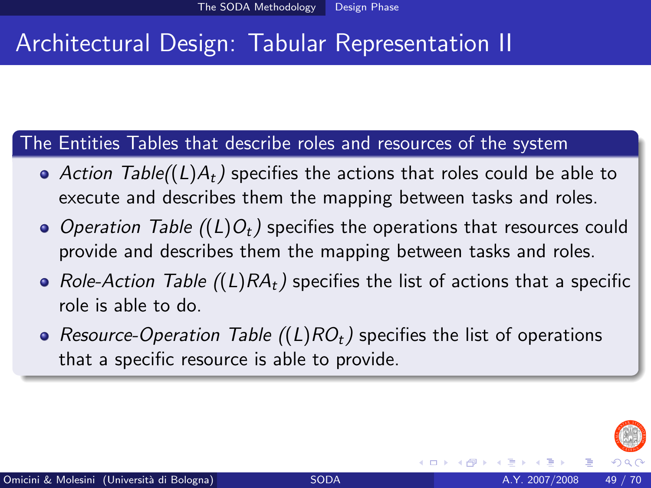# Architectural Design: Tabular Representation II

#### The Entities Tables that describe roles and resources of the system

- Action Table( $(L)A_t$ ) specifies the actions that roles could be able to execute and describes them the mapping between tasks and roles.
- Operation Table  $((L)O_t)$  specifies the operations that resources could provide and describes them the mapping between tasks and roles.
- Role-Action Table  $((L)RA_t)$  specifies the list of actions that a specific role is able to do.
- Resource-Operation Table  $((L)RO<sub>t</sub>)$  specifies the list of operations that a specific resource is able to provide.

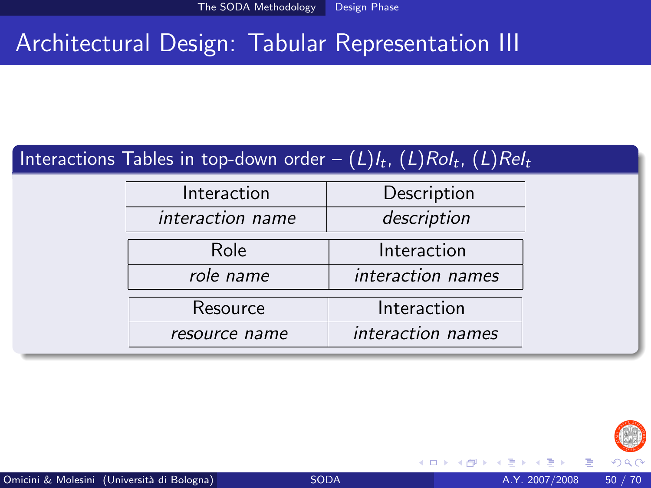# Architectural Design: Tabular Representation III

### Interactions Tables in top-down order —  $(L)l_t$ ,  $(L)Rol_t$ ,  $(L)Rel_t$

| Interaction      | Description       |
|------------------|-------------------|
| interaction name | description       |
| Role             | Interaction       |
| role name        | interaction names |
| Resource         | Interaction       |
| resource name    | interaction names |



 $\leftarrow$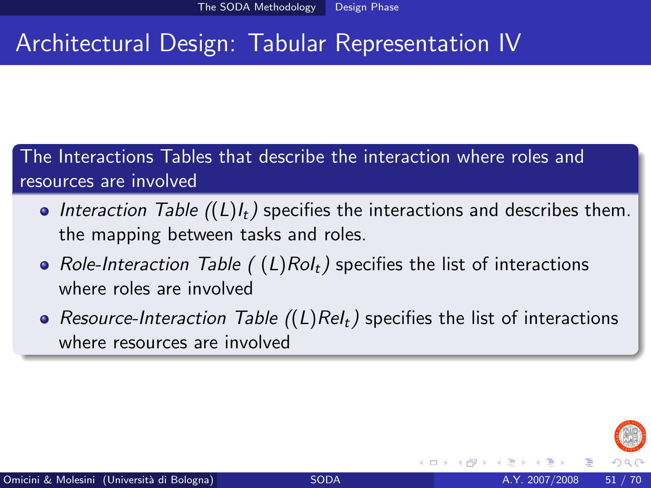# Architectural Design: Tabular Representation IV

The Interactions Tables that describe the interaction where roles and resources are involved

- Interaction Table  $((L)I_t)$  specifies the interactions and describes them. the mapping between tasks and roles.
- Role-Interaction Table ((L)RoI<sub>t</sub>) specifies the list of interactions where roles are involved
- Resource-Interaction Table  $((L)Rel_t)$  specifies the list of interactions where resources are involved

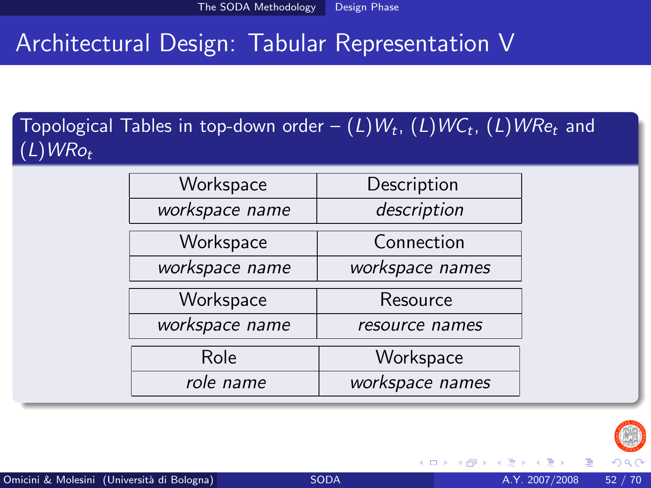# Architectural Design: Tabular Representation V

### Topological Tables in top-down order —  $(L)W_t$ ,  $(L)W\!C_t$ ,  $(L)W\!R_{e_t}$  and  $(L)WRo_t$

| Workspace      | Description     |
|----------------|-----------------|
| workspace name | description     |
| Workspace      | Connection      |
| workspace name | workspace names |
| Workspace      | Resource        |
| workspace name | resource names  |
| Role           | Workspace       |
| role name      | workspace names |

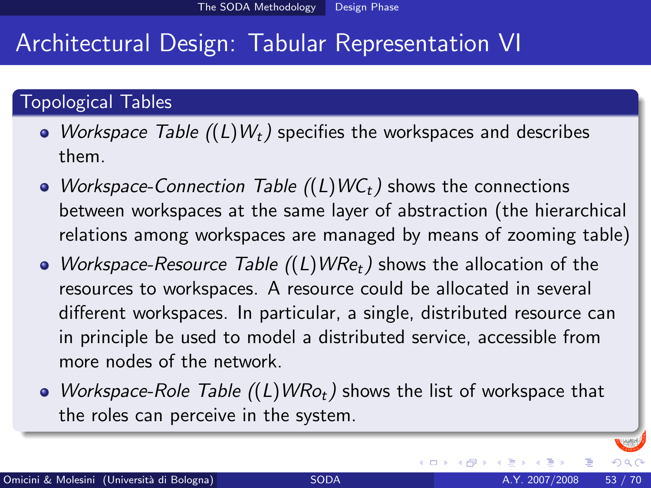# Architectural Design: Tabular Representation VI

#### Topological Tables

- Workspace Table  $((L)W_t)$  specifies the workspaces and describes them.
- Workspace-Connection Table  $((L)WC_t)$  shows the connections between workspaces at the same layer of abstraction (the hierarchical relations among workspaces are managed by means of zooming table)
- Workspace-Resource Table  $((L)WRe_t)$  shows the allocation of the resources to workspaces. A resource could be allocated in several different workspaces. In particular, a single, distributed resource can in principle be used to model a distributed service, accessible from more nodes of the network.
- Workspace-Role Table  $((L)WRo_t)$  shows the list of workspace that the roles can perceive in the system.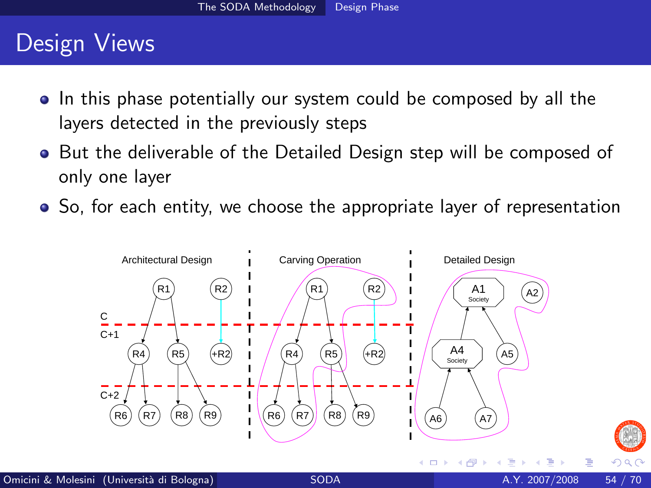# Design Views

- In this phase potentially our system could be composed by all the layers detected in the previously steps
- **•** But the deliverable of the Detailed Design step will be composed of only one layer
- So, for each entity, we choose the appropriate layer of representation



 $\Omega$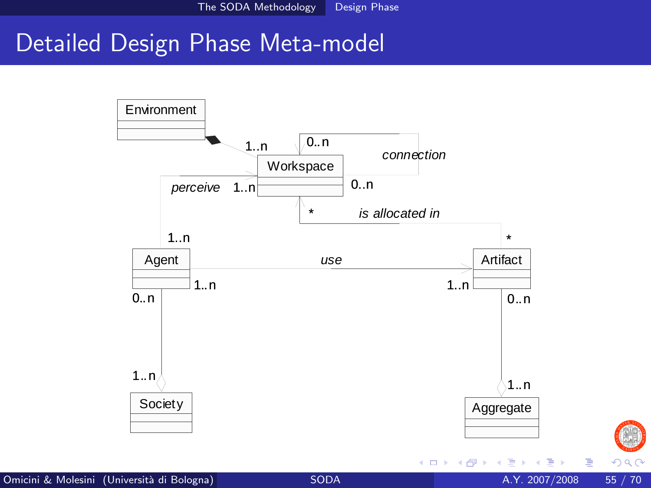## Detailed Design Phase Meta-model



Þ

 $299$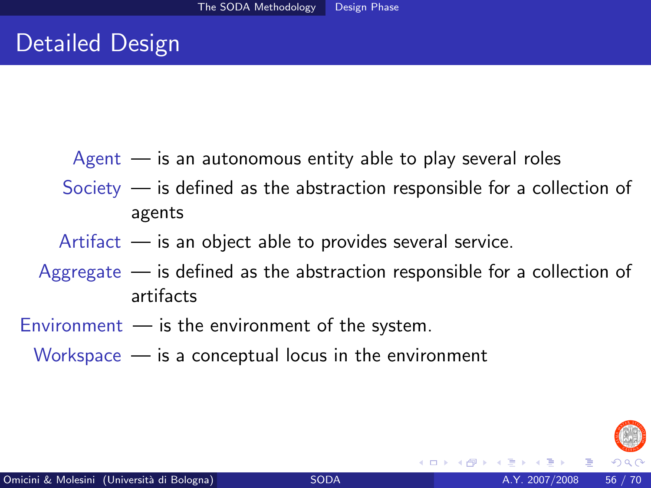- $A$ gent  $-$  is an autonomous entity able to play several roles
- Society is defined as the abstraction responsible for a collection of agents
- Artifact  $-$  is an object able to provides several service.
- Aggregate is defined as the abstraction responsible for a collection of artifacts
- $Environment$  is the environment of the system.
	- Workspace is a conceptual locus in the environment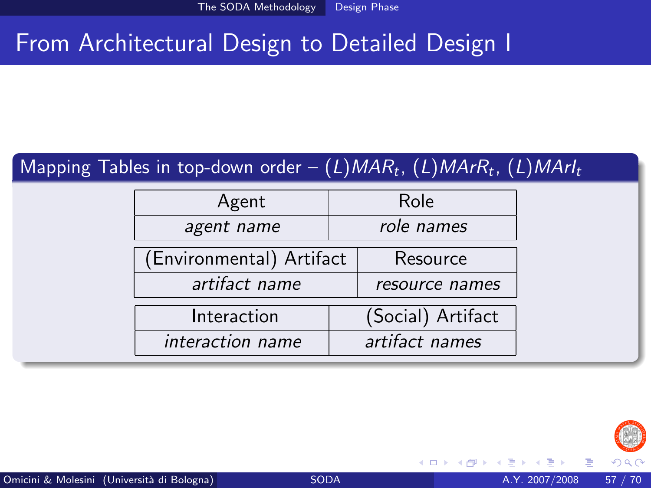# From Architectural Design to Detailed Design I

### Mapping Tables in top-down order —  $(L)$ MAR $_t$ ,  $(L)$ MAr $R_t$ ,  $(L)$ MAr $I_t$

| Agent                    | Role       |                   |
|--------------------------|------------|-------------------|
| agent name               | role names |                   |
| (Environmental) Artifact |            | Resource          |
| artifact name            |            | resource names    |
| Interaction              |            | (Social) Artifact |
| interaction name         |            | artifact names    |



4 0 8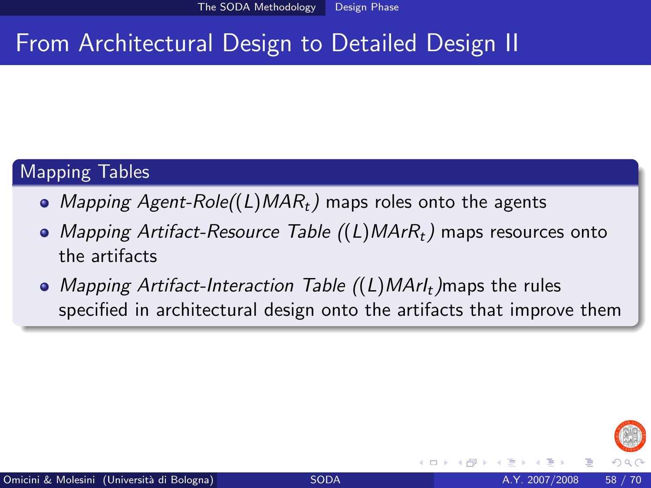# From Architectural Design to Detailed Design II

#### Mapping Tables

- Mapping Agent-Role( $(L)$ MAR<sub>t</sub>) maps roles onto the agents
- Mapping Artifact-Resource Table  $((L)$ MAr $R_t$ ) maps resources onto the artifacts
- Mapping Artifact-Interaction Table  $((L)$ MArI<sub>t</sub>)maps the rules specified in architectural design onto the artifacts that improve them

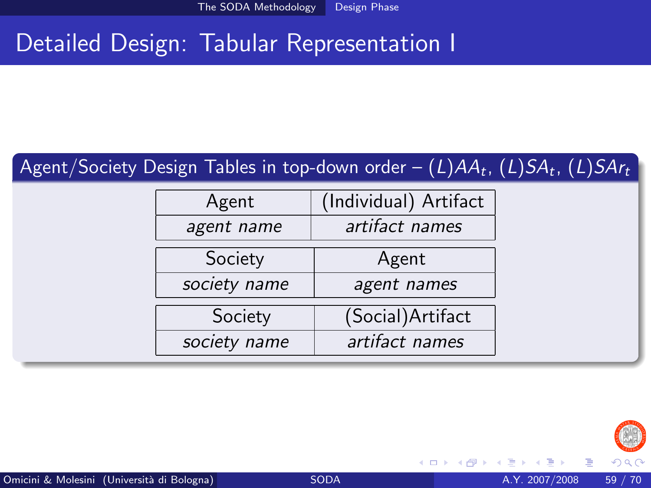# Detailed Design: Tabular Representation I

#### Agent/Society Design Tables in top-down order – (*L*)AA<sub>t</sub>, (*L*)SA<sub>t</sub>, (*L*)SAr<sub>t</sub>

| Agent        | (Individual) Artifact |
|--------------|-----------------------|
| agent name   | artifact names        |
| Society      | Agent                 |
| society name | agent names           |
| Society      | (Social) Artifact     |
| society name | artifact names        |



4 0 8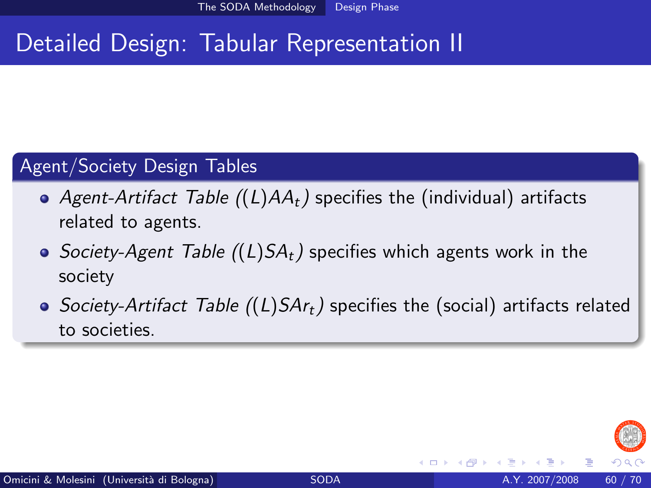# Detailed Design: Tabular Representation II

#### Agent/Society Design Tables

- Agent-Artifact Table  $((L)AA_t)$  specifies the (individual) artifacts related to agents.
- Society-Agent Table  $((L)SA_t)$  specifies which agents work in the society
- Society-Artifact Table ((L)SAr<sub>t</sub>) specifies the (social) artifacts related to societies.

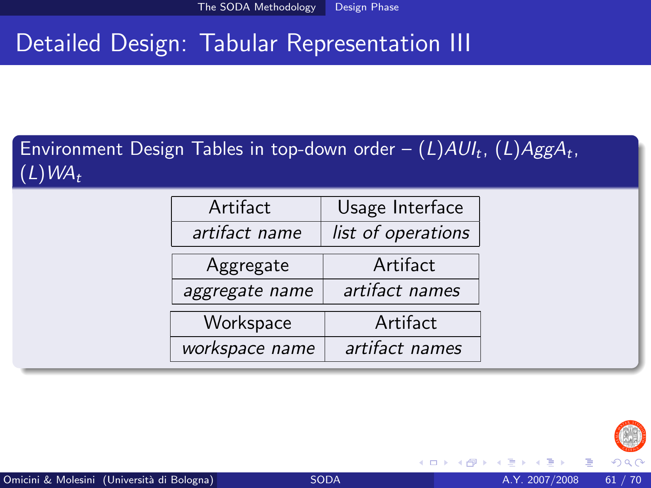# Detailed Design: Tabular Representation III

Environment Design Tables in top-down order —  $(L) A U l_t$ ,  $(L) A g g A_t$ ,  $(L)WA_t$ 

| Artifact       | Usage Interface    |
|----------------|--------------------|
| artifact name  | list of operations |
| Aggregate      | Artifact           |
| aggregate name | artifact names     |
| Workspace      | Artifact           |
| workspace name | artifact names     |

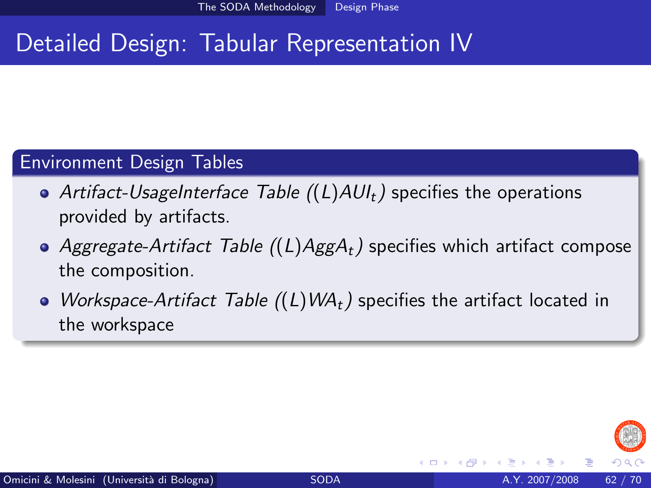# Detailed Design: Tabular Representation IV

#### Environment Design Tables

- Artifact-UsageInterface Table  $((L)AU_t)$  specifies the operations provided by artifacts.
- Aggregate-Artifact Table  $((L)AggA_t)$  specifies which artifact compose the composition.
- Workspace-Artifact Table  $((L)WA_t)$  specifies the artifact located in the workspace

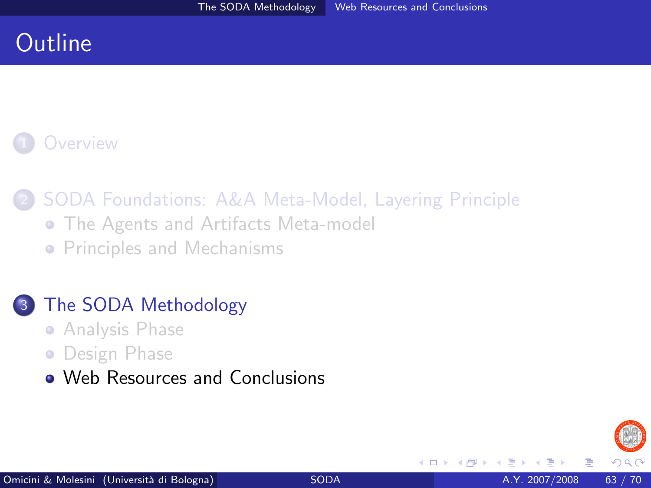# **Outline**

### **[Overview](#page-2-0)**

## 2 [SODA Foundations: A&A Meta-Model, Layering Principle](#page-5-0)

- **[The Agents and Artifacts Meta-model](#page-5-0)**
- **[Principles and Mechanisms](#page-12-0)**

#### [The SODA Methodology](#page-20-0)

- **[Analysis Phase](#page-21-0)**
- **•** [Design Phase](#page-42-0)
- [Web Resources and Conclusions](#page-62-0)

<span id="page-62-0"></span>4 0 8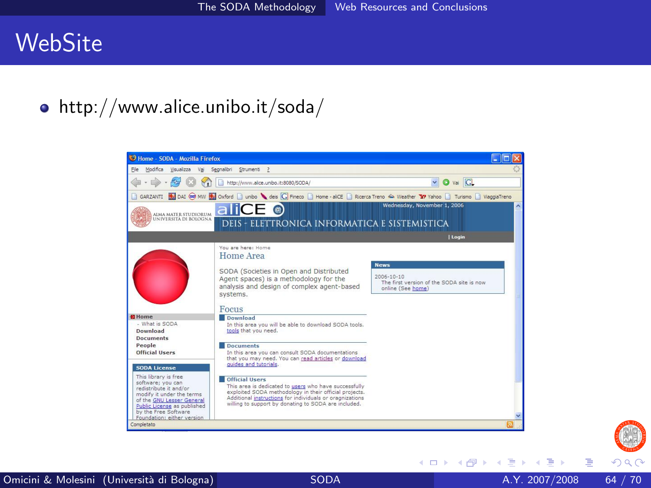## **WebSite**

http://www.alice.unibo.it/soda/





э

メロメ メ都 メメ きょくきょ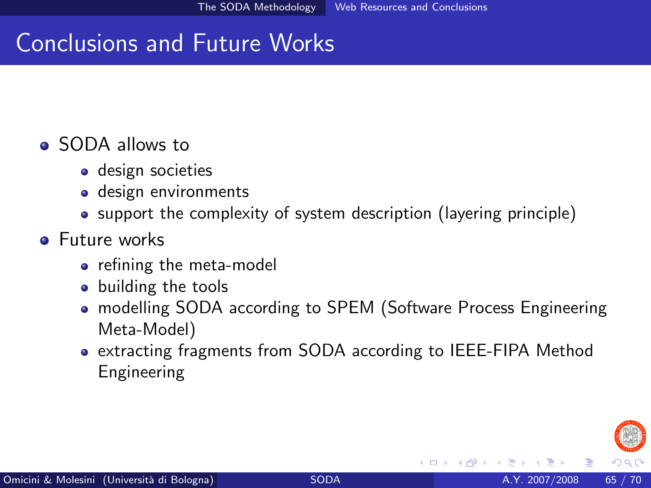# Conclusions and Future Works

#### **•** SODA allows to

- **o** design societies
- design environments
- support the complexity of system description (layering principle)

#### **•** Future works

- **•** refining the meta-model
- building the tools
- modelling SODA according to SPEM (Software Process Engineering Meta-Model)
- extracting fragments from SODA according to IEEE-FIPA Method Engineering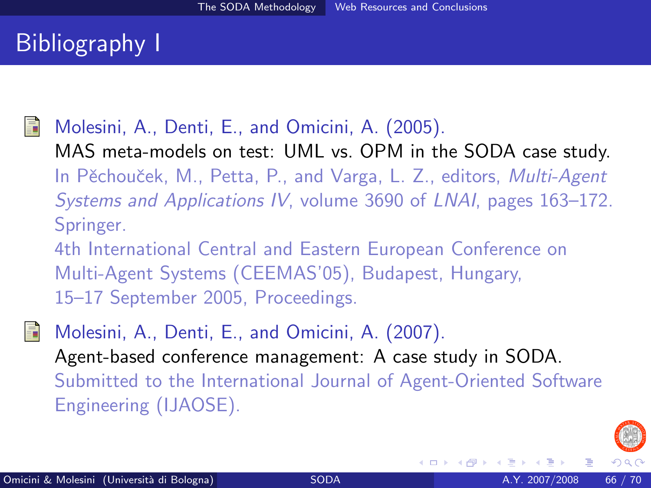# Bibliography I

<span id="page-65-0"></span>

Molesini, A., Denti, E., and Omicini, A. (2005). MAS meta-models on test: UML vs. OPM in the SODA case study. In Pěchouček, M., Petta, P., and Varga, L. Z., editors, Multi-Agent Systems and Applications IV, volume 3690 of LNAI, pages 163–172. Springer.

4th International Central and Eastern European Conference on Multi-Agent Systems (CEEMAS'05), Budapest, Hungary, 15–17 September 2005, Proceedings.

<span id="page-65-1"></span>Molesini, A., Denti, E., and Omicini, A. (2007). Agent-based conference management: A case study in SODA. Submitted to the International Journal of Agent-Oriented Software Engineering (IJAOSE).

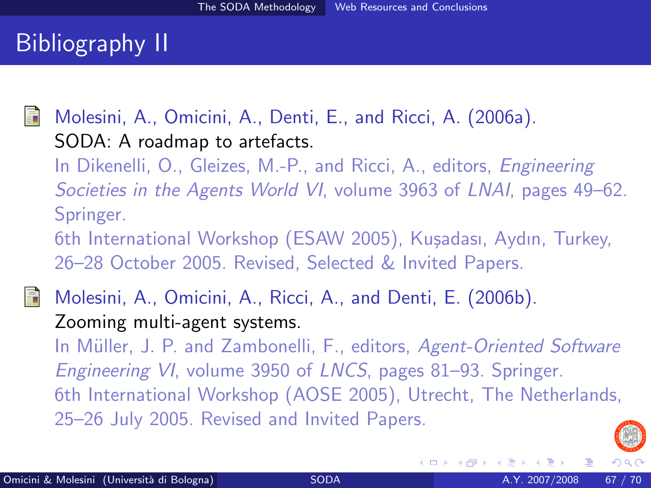# Bibliography II

<span id="page-66-1"></span>

Molesini, A., Omicini, A., Denti, E., and Ricci, A. (2006a). SODA: A roadmap to artefacts.

In Dikenelli, O., Gleizes, M.-P., and Ricci, A., editors, Engineering Societies in the Agents World VI, volume 3963 of LNAI, pages 49–62. Springer.

6th International Workshop (ESAW 2005), Kuşadası, Aydın, Turkey, 26–28 October 2005. Revised, Selected & Invited Papers.

<span id="page-66-0"></span>Molesini, A., Omicini, A., Ricci, A., and Denti, E. (2006b). Zooming multi-agent systems.

In Müller, J. P. and Zambonelli, F., editors, Agent-Oriented Software Engineering VI, volume 3950 of LNCS, pages 81–93. Springer. 6th International Workshop (AOSE 2005), Utrecht, The Netherlands, 25–26 July 2005. Revised and Invited Papers.

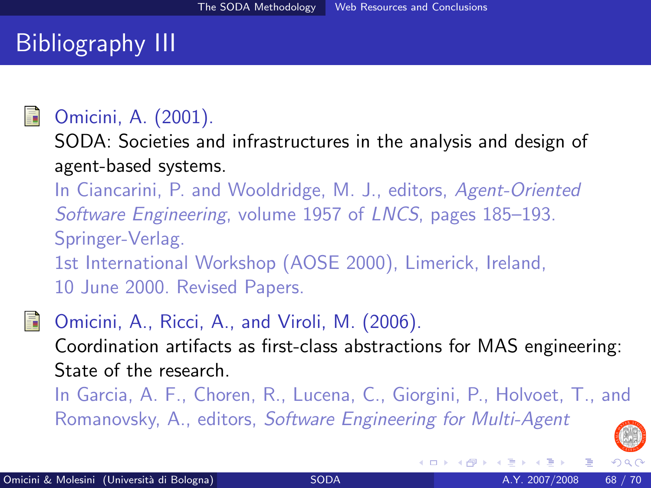# Bibliography III

## <span id="page-67-0"></span>Omicini, A. (2001).

SODA: Societies and infrastructures in the analysis and design of agent-based systems.

In Ciancarini, P. and Wooldridge, M. J., editors, Agent-Oriented Software Engineering, volume 1957 of LNCS, pages 185–193. Springer-Verlag. 1st International Workshop (AOSE 2000), Limerick, Ireland, 10 June 2000. Revised Papers.

<span id="page-67-1"></span>

Omicini, A., Ricci, A., and Viroli, M. (2006). Coordination artifacts as first-class abstractions for MAS engineering: State of the research.

In Garcia, A. F., Choren, R., Lucena, C., Giorgini, P., Holvoet, T., and Romanovsky, A., editors, Software Engineering for Multi-Agent

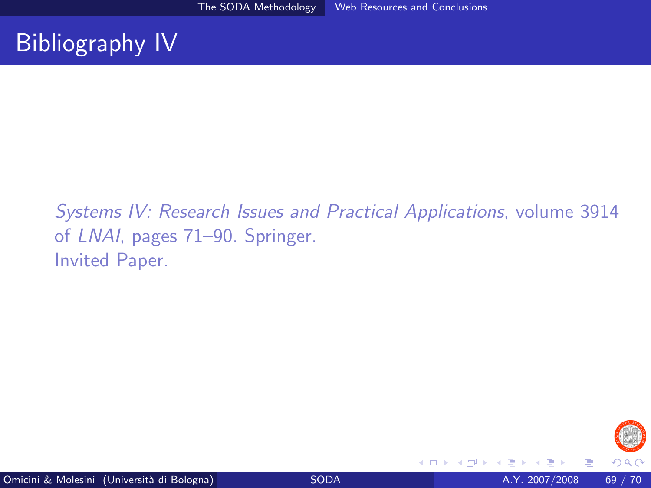# Bibliography IV

Systems IV: Research Issues and Practical Applications, volume 3914 of LNAI, pages 71–90. Springer. Invited Paper.



4 0 8